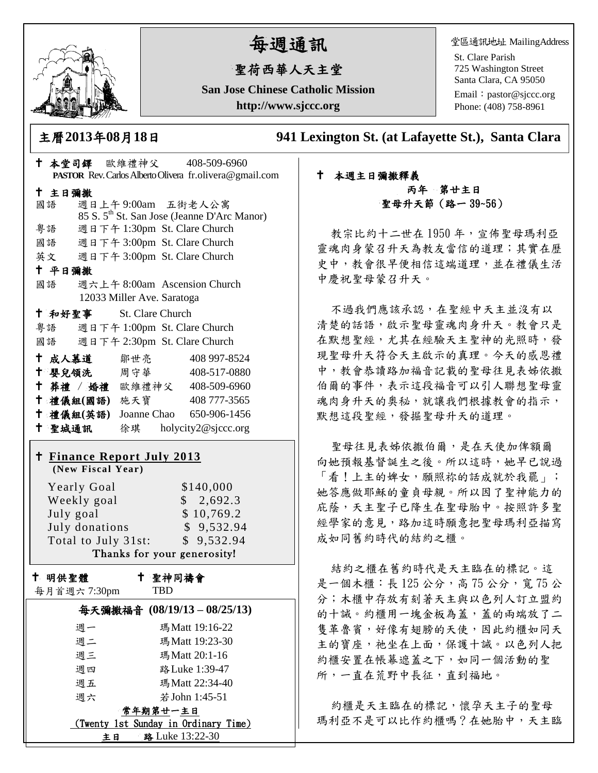

# 每週通訊

## 聖荷西華人天主堂

**San Jose Chinese Catholic Mission http://www.sjccc.org**

堂區通訊地址 MailingAddress

St. Clare Parish 725 Washington Street Santa Clara, CA 95050

Email: [pastor@sjccc.org](mailto:pastor@sjccc.org) Phone: (408) 758-8961

主曆**2013**年**08**月**18**日 **941 Lexington St. (at Lafayette St.), Santa Clara** 

| † 本堂司鐸 歐維禮神父 408-509-6960                              |                                                                                         |
|--------------------------------------------------------|-----------------------------------------------------------------------------------------|
|                                                        | PASTOR Rev. Carlos Alberto Olivera fr. olivera@gmail.com                                |
| 十 主日彌撒                                                 |                                                                                         |
| 國語                                                     | 週日上午9:00am 五街老人公寓                                                                       |
| 粤語                                                     | 85 S. 5 <sup>th</sup> St. San Jose (Jeanne D'Arc Manor)<br>週日下午 1:30pm St. Clare Church |
| 國語 週日下午 3:00pm St. Clare Church                        |                                                                                         |
|                                                        |                                                                                         |
| 英文 週日下午 3:00pm St. Clare Church<br>十 平日彌撒              |                                                                                         |
| 國語 週六上午 8:00am Ascension Church                        |                                                                                         |
| 12033 Miller Ave. Saratoga                             |                                                                                         |
| † 和好聖事 St. Clare Church                                |                                                                                         |
| 粵語                                                     | 週日下午 1:00pm St. Clare Church                                                            |
| 國語 週日下午 2:30pm St. Clare Church                        |                                                                                         |
| 十 成人慕道<br>鄒世亮                                          | 408 997-8524                                                                            |
| ← 嬰兒領洗 周守華                                             | 408-517-0880                                                                            |
|                                                        | † 葬禮 / 婚禮 歐維禮神父 408-509-6960                                                            |
|                                                        | † 禮儀組(國語) 施天寶 408777-3565                                                               |
|                                                        | † 禮儀組(英語) Joanne Chao 650-906-1456                                                      |
|                                                        |                                                                                         |
|                                                        |                                                                                         |
| 十 聖城通訊                                                 | 徐琪 holycity2@sjccc.org                                                                  |
|                                                        |                                                                                         |
| <b>† Finance Report July 2013</b><br>(New Fiscal Year) |                                                                                         |
|                                                        |                                                                                         |
| <b>Yearly Goal</b>                                     | \$140,000                                                                               |
| Weekly goal<br>July goal                               | \$2,692.3<br>\$10,769.2                                                                 |
| July donations                                         | \$9,532.94                                                                              |
| Total to July 31st:                                    | \$9,532.94                                                                              |
|                                                        | Thanks for your generosity!                                                             |
|                                                        |                                                                                         |
| + 明供聖體                                                 | 十 聖神同禱會                                                                                 |
| 每月首週六 7:30pm                                           | TBD                                                                                     |
|                                                        | 每天彌撒福音 (08/19/13-08/25/13)                                                              |
| 週一                                                     | 瑪Matt 19:16-22                                                                          |
| 週二                                                     | 瑪Matt 19:23-30                                                                          |
| 週三                                                     | 瑪Matt 20:1-16                                                                           |
| 週四<br>週五                                               | 路 Luke 1:39-47<br>瑪Matt 22:34-40                                                        |

週六 若John 1:45-51 常年期第廿一主日 (Twenty 1st Sunday in Ordinary Time) 主日 路 Luke 13:22-30

#### 本週主日彌撒釋義 丙年 第廿主日 聖母升天節(路一 39~56)

教宗比約十二世在1950年,宣佈聖母瑪利亞 靈魂肉身蒙召升天為教友當信的道理;其實在歷 史中,教會很早便相信這端道理,並在禮儀生活 中慶祝聖母蒙召升天。

不過我們應該承認,在聖經中天主並沒有以 清楚的話語,啟示聖母靈魂肉身升天。教會只是 在默想聖經,尤其在經驗天主聖神的光照時,發 現聖母升天符合天主啟示的真理。今天的感恩禮 中,教會恭讀路加福音記載的聖母往見表姊依撒 伯爾的事件,表示這段福音可以引人聯想聖母靈 魂肉身升天的奧秘,就讓我們根據教會的指示, 默想這段聖經,發掘聖母升天的道理。

聖母往見表姊依撒伯爾,是在天使加俾額爾 向她預報基督誕生之後。所以這時,她早已說過 「看!上主的婢女,願照祢的話成就於我罷」; 她答應做耶穌的童貞母親。所以因了聖神能力的 庇蔭,天主聖子已降生在聖母胎中。按照許多聖 經學家的意見,路加這時願意把聖母瑪利亞描寫 成如同舊約時代的結約之櫃。

結約之櫃在舊約時代是天主臨在的標記。這 是一個木櫃:長 125 公分,高 75 公分,寬 75 公 分;木櫃中存放有刻著天主與以色列人訂立盟約 的十誡。約櫃用一塊金板為蓋,蓋的兩端放了二 隻革魯賓,好像有翅膀的天使,因此約櫃如同天 主的寶座,祂坐在上面,保護十誡。以色列人把 約櫃安置在帳幕遮蓋之下,如同一個活動的聖 所,一直在荒野中長征,直到福地。

約櫃是天主臨在的標記,懷孕天主子的聖母 瑪利亞不是可以比作約櫃嗎?在她胎中,天主臨